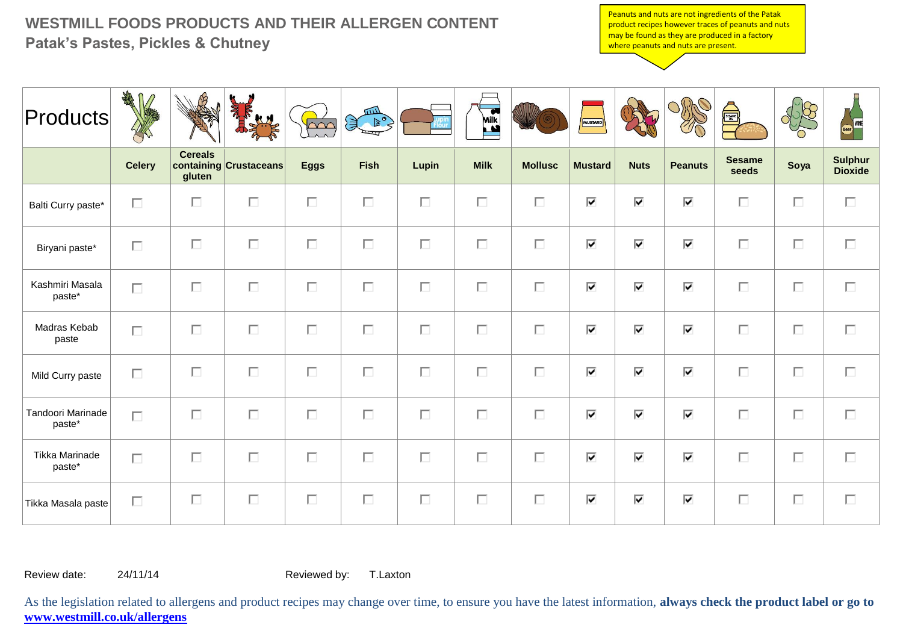## **WESTMILL FOODS PRODUCTS AND THEIR ALLERGEN CONTENT Patak's Pastes, Pickles & Chutney**

Peanuts and nuts are not ingredients of the Patak product recipes however traces of peanuts and nuts may be found as they are produced in a factory where peanuts and nuts are present.

| $ $ Products $ $            | THE           |                          | k H                    | $\overline{\triangle\curvearrowright}$ | mШ<br>€<br>$\geq$ |        | Mik         |                | <b>MUSTARD</b>                  |                                 |                                 | SESAME <sup>S</sup>    |        | Beer WINE                        |
|-----------------------------|---------------|--------------------------|------------------------|----------------------------------------|-------------------|--------|-------------|----------------|---------------------------------|---------------------------------|---------------------------------|------------------------|--------|----------------------------------|
|                             | <b>Celery</b> | <b>Cereals</b><br>gluten | containing Crustaceans | <b>Eggs</b>                            | <b>Fish</b>       | Lupin  | <b>Milk</b> | <b>Mollusc</b> | <b>Mustard</b>                  | <b>Nuts</b>                     | <b>Peanuts</b>                  | <b>Sesame</b><br>seeds | Soya   | <b>Sulphur</b><br><b>Dioxide</b> |
| Balti Curry paste*          | П             | П                        | П                      | $\Box$                                 | П                 | П      | П           | П              | ⊽                               | ⊽                               | ⊽                               | П                      | $\Box$ | П                                |
| Biryani paste*              | П             | П                        | П                      | $\Box$                                 | П                 | П      | $\Box$      | П              | $\overline{\mathbf{v}}$         | ⊽                               | $\overline{\mathbf{v}}$         | П                      | П      | П                                |
| Kashmiri Masala<br>paste*   | $\Box$        | П                        | П                      | $\Box$                                 | $\Box$            | $\Box$ | $\Box$      | $\Box$         | ⊽                               | $\overline{\blacktriangledown}$ | $\overline{\blacktriangledown}$ | $\Box$                 | $\Box$ | $\Box$                           |
| Madras Kebab<br>paste       | $\Box$        | П                        | П                      | $\Box$                                 | П                 | П      | П           | $\Box$         | $\overline{\mathbf{v}}$         | ⊽                               | $\overline{\mathbf{v}}$         | П                      | $\Box$ | П                                |
| Mild Curry paste            | П             | П                        | $\Box$                 | $\Box$                                 | $\Box$            | $\Box$ | $\Box$      | $\Box$         | ⊽                               | ⊽                               | $\overline{\mathbf{v}}$         | $\Box$                 | $\Box$ | П                                |
| Tandoori Marinade<br>paste* | П             | П                        | П                      | $\Box$                                 | $\Box$            | П      | $\Box$      | П              | $\overline{\blacktriangledown}$ | ⊽                               | ⊽                               | $\Box$                 | $\Box$ | $\Box$                           |
| Tikka Marinade<br>paste*    | $\Box$        | П                        | П                      | $\Box$                                 | П                 | П      | П           | $\Box$         | $\overline{\mathbf{v}}$         | $\overline{\blacktriangledown}$ | ⊽                               | П                      | $\Box$ | П                                |
| Tikka Masala paste          | П             | П                        | П                      | $\Box$                                 | $\Box$            | П      | $\Box$      | П              | ⊽                               | ⊽                               | ⊽                               | $\Box$                 | П      | П                                |

Review date: 24/11/14 Reviewed by: T.Laxton

As the legislation related to allergens and product recipes may change over time, to ensure you have the latest information, **always check the product label or go to www.westmill.co.uk/allergens**